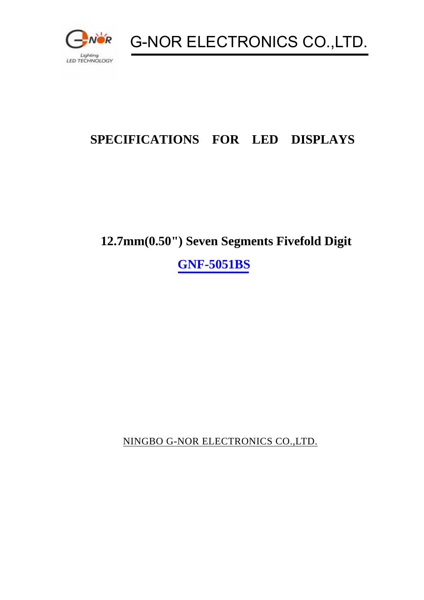

G-NOR ELECTRONICS CO.,LTD.

# **SPECIFICATIONS FOR LED DISPLAYS**

# **12.7mm(0.50") Seven Segments Fivefold Digit**

**GNF-5051BS** 

NINGBO G-NOR ELECTRONICS CO.,LTD.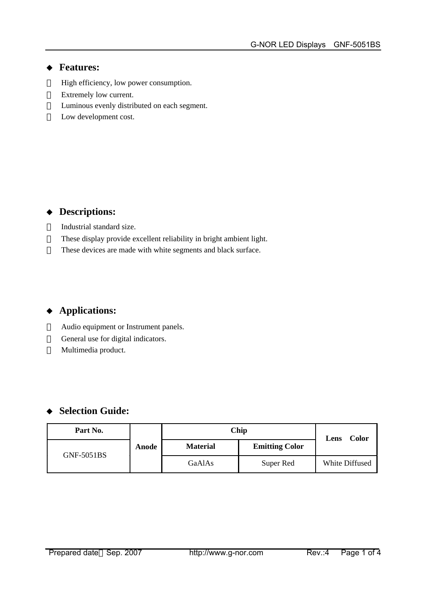#### **Features:**

 High efficiency, low power consumption. Extremely low current. Luminous evenly distributed on each segment. Low development cost.

### **Descriptions:**

Industrial standard size.

 These display provide excellent reliability in bright ambient light. These devices are made with white segments and black surface.

### **Applications:**

 Audio equipment or Instrument panels. General use for digital indicators. Multimedia product.

### **Selection Guide:**

| Part No.   |       | Chip            |                       | <b>Color</b><br>Lens |  |
|------------|-------|-----------------|-----------------------|----------------------|--|
| GNF-5051BS | Anode | <b>Material</b> | <b>Emitting Color</b> |                      |  |
|            |       | GaAlAs          | Super Red             | White Diffused       |  |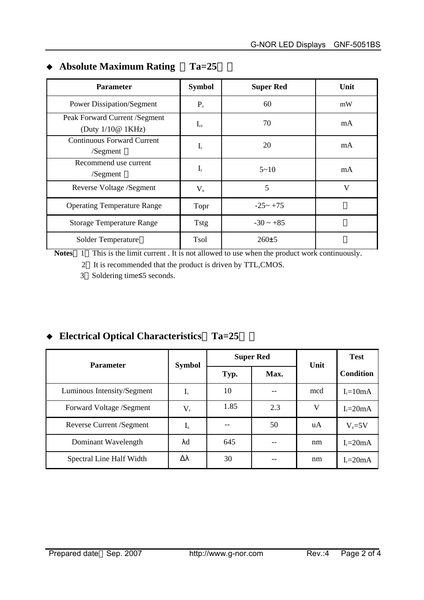| <b>Parameter</b>                                      | <b>Symbol</b>                 | <b>Super Red</b> | Unit |
|-------------------------------------------------------|-------------------------------|------------------|------|
| <b>Power Dissipation/Segment</b>                      | $P_{d}$                       | 60               | mW   |
| Peak Forward Current / Segment<br>(Duty $1/10@$ 1KHz) | $I_{\text{FP}}$               | 70               | mA   |
| <b>Continuous Forward Current</b><br>/Segment         | $I_{\scriptscriptstyle\rm F}$ | 20               | mA   |
| Recommend use current<br>/Segment                     | $I_{\scriptscriptstyle\rm F}$ | $5 - 10$         | mA   |
| Reverse Voltage /Segment                              | $V_{R}$                       | 5                | V    |
| <b>Operating Temperature Range</b>                    | Topr                          | $-25 - +75$      |      |
| <b>Storage Temperature Range</b>                      | <b>Tstg</b>                   | $-30 \sim +85$   |      |
| Solder Temperature                                    | Tsol                          | 260±5            |      |

#### **Absolute Maximum Rating Ta=25**

**Notes** 1 This is the limit current. It is not allowed to use when the product work continuously.

2 It is recommended that the product is driven by TTL,CMOS.

3 Soldering time≤5 seconds.

### **Electrical Optical Characteristics Ta=25**

| <b>Parameter</b>           | <b>Symbol</b>              | <b>Super Red</b> |      | Unit | <b>Test</b>      |
|----------------------------|----------------------------|------------------|------|------|------------------|
|                            |                            | Typ.             | Max. |      | <b>Condition</b> |
| Luminous Intensity/Segment | $I_{v}$                    | 10               |      | mcd  | $IF=10mA$        |
| Forward Voltage /Segment   | $\rm V_{\rm r}$            | 1.85             | 2.3  | V    | $IF=20mA$        |
| Reverse Current / Segment  | $I_{\scriptscriptstyle R}$ |                  | 50   | uA   | $V_R = 5V$       |
| Dominant Wavelength        | λd                         | 645              |      | nm   | $IF=20mA$        |
| Spectral Line Half Width   | Δλ                         | 30               |      | nm   | $IF=20mA$        |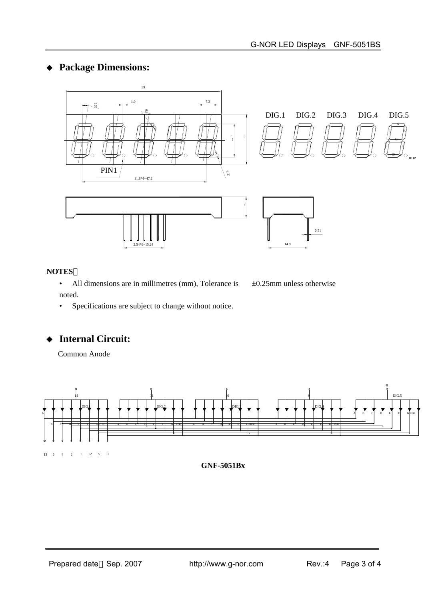#### **Package Dimensions:**



 $DIG.1$   $DIG.2$   $DIG.3$   $DIG.4$   $DIG.5$ F/B G E/ C D RDP





c 1

#### **NOTES**

• All dimensions are in millimetres (mm), Tolerance is  $\pm 0.25$ mm unless otherwise noted.

• Specifications are subject to change without notice.

#### **Internal Circuit:**

Common Anode



**GNF-5051Bx**